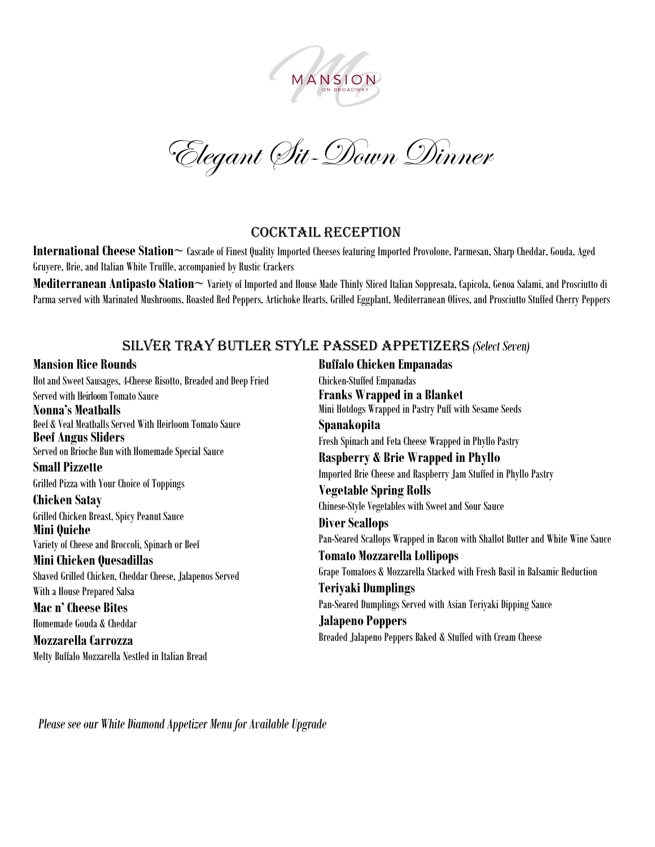

Elegant Sit-Down Dinner

#### Cocktail Reception

**International Cheese Station~** Cascade of Finest Quality Imported Cheeses featuring Imported Provolone, Parmesan, Sharp Cheddar, Gouda, Aged Gruyere, Brie, and Italian White Truffle, accompanied by Rustic Crackers

**Mediterranean Antipasto Station~** Variety of Imported and House Made Thinly Sliced Italian Soppresata, Capicola, Genoa Salami, and Prosciutto di Parma served with Marinated Mushrooms, Roasted Red Peppers, Artichoke Hearts, Grilled Eggplant, Mediterranean Olives, and Prosciutto Stuffed Cherry Peppers

# Silver Tray Butler Style Passed APPETIZERS *(Select Seven)*

#### **Mansion Rice Rounds**

Hot and Sweet Sausages, 4-Cheese Risotto, Breaded and Deep Fried Served with Heirloom Tomato Sauce **Nonna's Meatballs** Beef & Veal Meatballs Served With Heirloom Tomato Sauce **Beef AngusSliders** Served on Brioche Bun with Homemade Special Sauce **Small Pizzette** Grilled Pizza with Your Choice of Toppings **Chicken Satay** Grilled Chicken Breast, Spicy Peanut Sauce **Mini Quiche** Variety of Cheese and Broccoli, Spinach or Beef **Mini Chicken Quesadillas** Shaved Grilled Chicken, Cheddar Cheese, Jalapenos Served With a House Prepared Salsa **Mac n' Cheese Bites** Homemade Gouda & Cheddar **Mozzarella Carrozza** Melty Buffalo Mozzarella Nestled in Italian Bread

**Buffalo Chicken Empanadas** Chicken-Stuffed Empanadas **Franks Wrapped in a Blanket** Mini Hotdogs Wrapped in Pastry Puff with Sesame Seeds **Spanakopita** Fresh Spinach and Feta Cheese Wrapped in Phyllo Pastry **Raspberry & Brie Wrapped in Phyllo** Imported Brie Cheese and Raspberry Jam Stuffed in Phyllo Pastry **Vegetable Spring Rolls** Chinese-Style Vegetables with Sweet and Sour Sauce **Diver Scallops** Pan-Seared Scallops Wrapped in Bacon with Shallot Butter and White Wine Sauce **Tomato Mozzarella Lollipops** Grape Tomatoes & Mozzarella Stacked with Fresh Basil in Balsamic Reduction **Teriyaki Dumplings** Pan-Seared Dumplings Served with Asian Teriyaki Dipping Sauce **Jalapeno Poppers** Breaded Jalapeno Peppers Baked & Stuffed with Cream Cheese

*Please see our White Diamond Appetizer Menu forAvailable Upgrade*